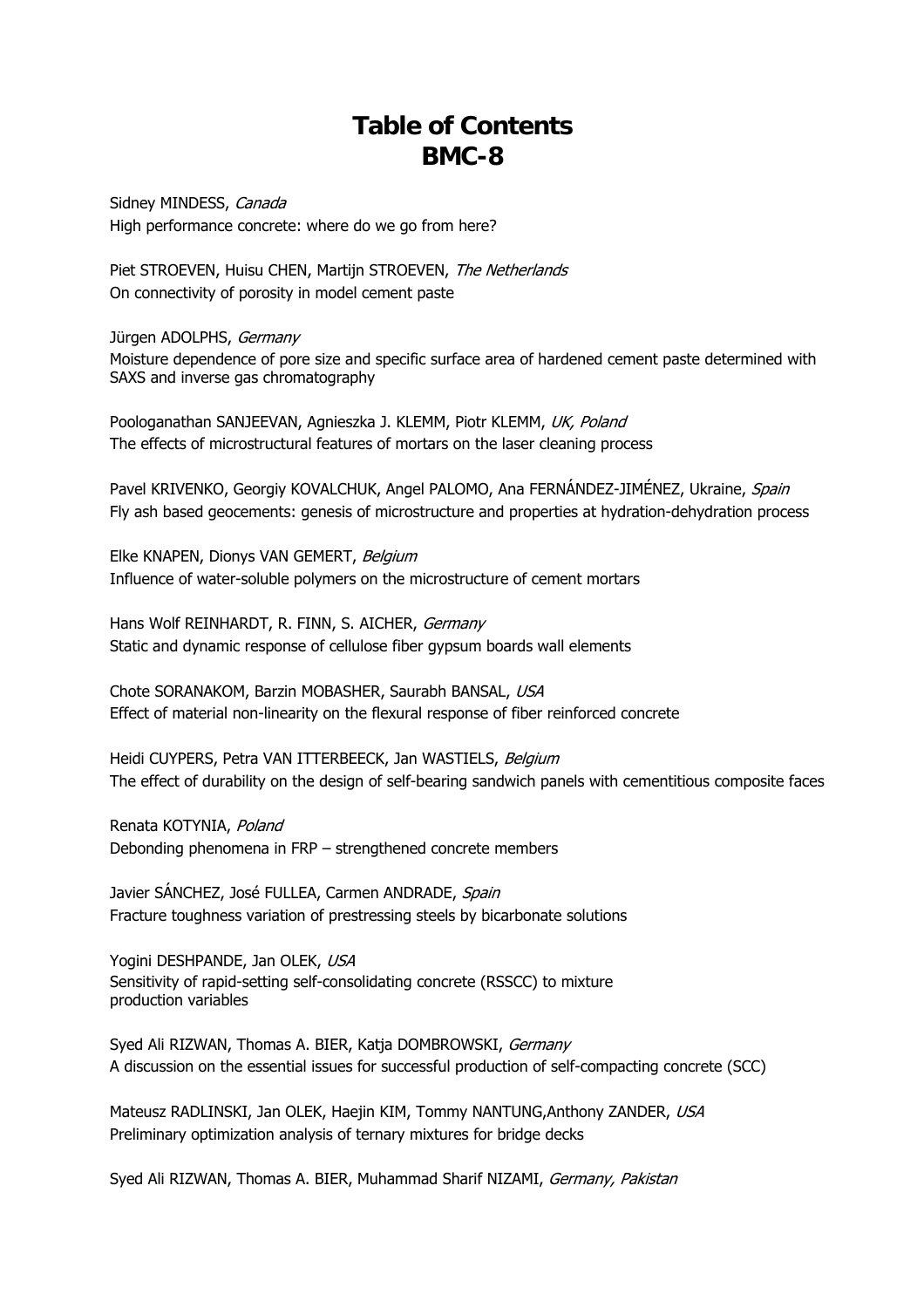## **Table of Contents BMC-8**

Sidney MINDESS, Canada High performance concrete: where do we go from here?

Piet STROEVEN, Huisu CHEN, Martijn STROEVEN, The Netherlands On connectivity of porosity in model cement paste

Jürgen ADOLPHS, Germany

Moisture dependence of pore size and specific surface area of hardened cement paste determined with SAXS and inverse gas chromatography

Poologanathan SANJEEVAN, Agnieszka J. KLEMM, Piotr KLEMM, UK, Poland The effects of microstructural features of mortars on the laser cleaning process

Pavel KRIVENKO, Georgiy KOVALCHUK, Angel PALOMO, Ana FERNÁNDEZ-JIMÉNEZ, Ukraine, Spain Fly ash based geocements: genesis of microstructure and properties at hydration-dehydration process

Elke KNAPEN, Dionys VAN GEMERT, Belgium Influence of water-soluble polymers on the microstructure of cement mortars

Hans Wolf REINHARDT, R. FINN, S. AICHER, Germany Static and dynamic response of cellulose fiber gypsum boards wall elements

Chote SORANAKOM, Barzin MOBASHER, Saurabh BANSAL, USA Effect of material non-linearity on the flexural response of fiber reinforced concrete

Heidi CUYPERS, Petra VAN ITTERBEECK, Jan WASTIELS, Belgium The effect of durability on the design of self-bearing sandwich panels with cementitious composite faces

Renata KOTYNIA, Poland Debonding phenomena in FRP – strengthened concrete members

Javier SÁNCHEZ, José FULLEA, Carmen ANDRADE, Spain Fracture toughness variation of prestressing steels by bicarbonate solutions

Yogini DESHPANDE, Jan OLEK, USA Sensitivity of rapid-setting self-consolidating concrete (RSSCC) to mixture production variables

Syed Ali RIZWAN, Thomas A. BIER, Katja DOMBROWSKI, Germany A discussion on the essential issues for successful production of self-compacting concrete (SCC)

Mateusz RADLINSKI, Jan OLEK, Haejin KIM, Tommy NANTUNG, Anthony ZANDER, USA Preliminary optimization analysis of ternary mixtures for bridge decks

Syed Ali RIZWAN, Thomas A. BIER, Muhammad Sharif NIZAMI, Germany, Pakistan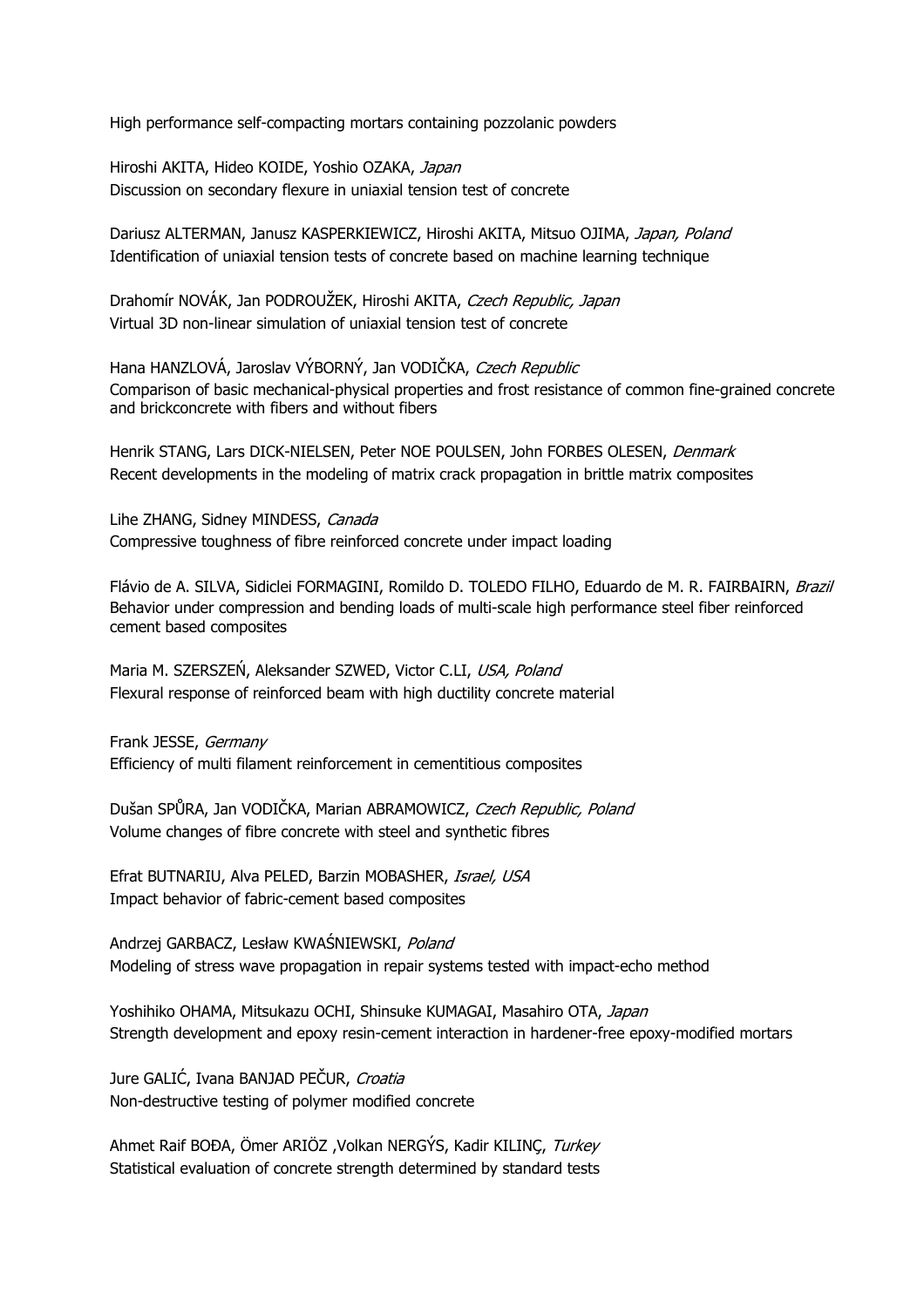High performance self-compacting mortars containing pozzolanic powders

Hiroshi AKITA, Hideo KOIDE, Yoshio OZAKA, Japan Discussion on secondary flexure in uniaxial tension test of concrete

Dariusz ALTERMAN, Janusz KASPERKIEWICZ, Hiroshi AKITA, Mitsuo OJIMA, Japan, Poland Identification of uniaxial tension tests of concrete based on machine learning technique

Drahomír NOVÁK, Jan PODROUŽEK, Hiroshi AKITA, Czech Republic, Japan Virtual 3D non-linear simulation of uniaxial tension test of concrete

Hana HANZLOVÁ, Jaroslav VÝBORNÝ, Jan VODIČKA, Czech Republic Comparison of basic mechanical-physical properties and frost resistance of common fine-grained concrete and brickconcrete with fibers and without fibers

Henrik STANG, Lars DICK-NIELSEN, Peter NOE POULSEN, John FORBES OLESEN, Denmark Recent developments in the modeling of matrix crack propagation in brittle matrix composites

Lihe ZHANG, Sidney MINDESS, Canada Compressive toughness of fibre reinforced concrete under impact loading

Flávio de A. SILVA, Sidiclei FORMAGINI, Romildo D. TOLEDO FILHO, Eduardo de M. R. FAIRBAIRN, Brazil Behavior under compression and bending loads of multi-scale high performance steel fiber reinforced cement based composites

Maria M. SZERSZEŃ, Aleksander SZWED, Victor C.LI, USA, Poland Flexural response of reinforced beam with high ductility concrete material

Frank JESSE, Germany Efficiency of multi filament reinforcement in cementitious composites

Dušan SPŮRA, Jan VODIČKA, Marian ABRAMOWICZ, Czech Republic, Poland Volume changes of fibre concrete with steel and synthetic fibres

Efrat BUTNARIU, Alva PELED, Barzin MOBASHER, Israel, USA Impact behavior of fabric-cement based composites

Andrzej GARBACZ, Lesław KWAŚNIEWSKI, Poland Modeling of stress wave propagation in repair systems tested with impact-echo method

Yoshihiko OHAMA, Mitsukazu OCHI, Shinsuke KUMAGAI, Masahiro OTA, Japan Strength development and epoxy resin-cement interaction in hardener-free epoxy-modified mortars

Jure GALIĆ, Ivana BANJAD PEČUR, Croatia Non-destructive testing of polymer modified concrete

Ahmet Raif BOĐA, Ömer ARIÖZ , Volkan NERGÝS, Kadir KILINÇ, Turkey Statistical evaluation of concrete strength determined by standard tests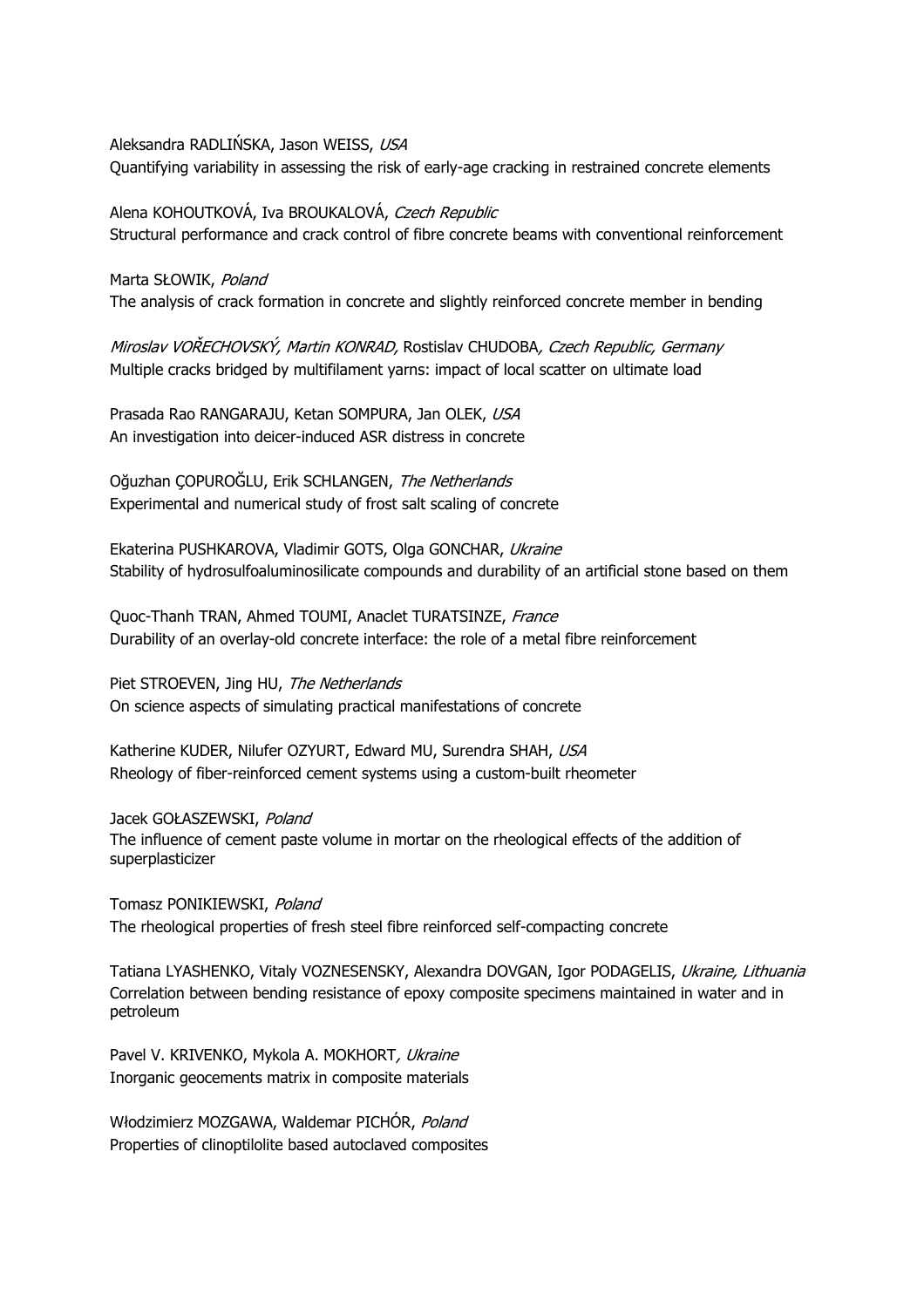Aleksandra RADLIŃSKA, Jason WEISS, USA Quantifying variability in assessing the risk of early-age cracking in restrained concrete elements

Alena KOHOUTKOVÁ, Iva BROUKALOVÁ, Czech Republic Structural performance and crack control of fibre concrete beams with conventional reinforcement

Marta SŁOWIK, Poland The analysis of crack formation in concrete and slightly reinforced concrete member in bending

Miroslav VOŘECHOVSKÝ, Martin KONRAD, Rostislav CHUDOBA, Czech Republic, Germany Multiple cracks bridged by multifilament yarns: impact of local scatter on ultimate load

Prasada Rao RANGARAJU, Ketan SOMPURA, Jan OLEK, USA An investigation into deicer-induced ASR distress in concrete

Oğuzhan ÇOPUROĞLU, Erik SCHLANGEN, The Netherlands Experimental and numerical study of frost salt scaling of concrete

Ekaterina PUSHKAROVA, Vladimir GOTS, Olga GONCHAR, Ukraine Stability of hydrosulfoaluminosilicate compounds and durability of an artificial stone based on them

Quoc-Thanh TRAN, Ahmed TOUMI, Anaclet TURATSINZE, France Durability of an overlay-old concrete interface: the role of a metal fibre reinforcement

Piet STROEVEN, Jing HU, The Netherlands On science aspects of simulating practical manifestations of concrete

Katherine KUDER, Nilufer OZYURT, Edward MU, Surendra SHAH, USA Rheology of fiber-reinforced cement systems using a custom-built rheometer

Jacek GOŁASZEWSKI, Poland The influence of cement paste volume in mortar on the rheological effects of the addition of superplasticizer

Tomasz PONIKIEWSKI, Poland The rheological properties of fresh steel fibre reinforced self-compacting concrete

Tatiana LYASHENKO, Vitaly VOZNESENSKY, Alexandra DOVGAN, Igor PODAGELIS, Ukraine, Lithuania Correlation between bending resistance of epoxy composite specimens maintained in water and in petroleum

Pavel V. KRIVENKO, Mykola A. MOKHORT, Ukraine Inorganic geocements matrix in composite materials

Włodzimierz MOZGAWA, Waldemar PICHÓR, Poland Properties of clinoptilolite based autoclaved composites